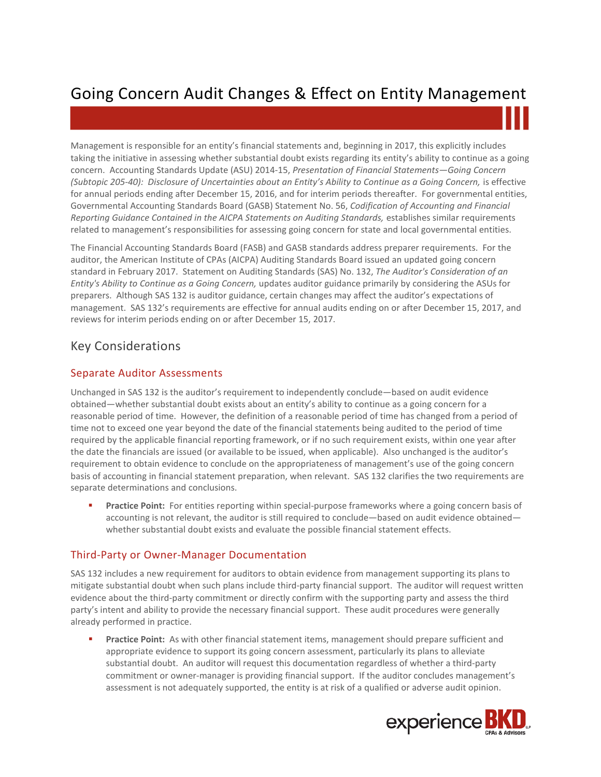# Going Concern Audit Changes & Effect on Entity Management

Management is responsible for an entity's financial statements and, beginning in 2017, this explicitly includes taking the initiative in assessing whether substantial doubt exists regarding its entity's ability to continue as a going concern. Accounting Standards Update (ASU) 2014-15, *Presentation of Financial Statements—Going Concern (Subtopic 205-40): Disclosure of Uncertainties about an Entity's Ability to Continue as a Going Concern,* is effective for annual periods ending after December 15, 2016, and for interim periods thereafter. For governmental entities, Governmental Accounting Standards Board (GASB) Statement No. 56, *Codification of Accounting and Financial Reporting Guidance Contained in the AICPA Statements on Auditing Standards,* establishes similar requirements related to management's responsibilities for assessing going concern for state and local governmental entities.

The Financial Accounting Standards Board (FASB) and GASB standards address preparer requirements. For the auditor, the American Institute of CPAs (AICPA) Auditing Standards Board issued an updated going concern standard in February 2017. Statement on Auditing Standards (SAS) No. 132, *The Auditor's Consideration of an Entity's Ability to Continue as a Going Concern,* updates auditor guidance primarily by considering the ASUs for preparers. Although SAS 132 is auditor guidance, certain changes may affect the auditor's expectations of management. SAS 132's requirements are effective for annual audits ending on or after December 15, 2017, and reviews for interim periods ending on or after December 15, 2017.

# Key Considerations

## Separate Auditor Assessments

Unchanged in SAS 132 is the auditor's requirement to independently conclude—based on audit evidence obtained—whether substantial doubt exists about an entity's ability to continue as a going concern for a reasonable period of time. However, the definition of a reasonable period of time has changed from a period of time not to exceed one year beyond the date of the financial statements being audited to the period of time required by the applicable financial reporting framework, or if no such requirement exists, within one year after the date the financials are issued (or available to be issued, when applicable). Also unchanged is the auditor's requirement to obtain evidence to conclude on the appropriateness of management's use of the going concern basis of accounting in financial statement preparation, when relevant. SAS 132 clarifies the two requirements are separate determinations and conclusions.

 **Practice Point:** For entities reporting within special-purpose frameworks where a going concern basis of accounting is not relevant, the auditor is still required to conclude—based on audit evidence obtained whether substantial doubt exists and evaluate the possible financial statement effects.

### Third-Party or Owner-Manager Documentation

SAS 132 includes a new requirement for auditors to obtain evidence from management supporting its plans to mitigate substantial doubt when such plans include third-party financial support. The auditor will request written evidence about the third-party commitment or directly confirm with the supporting party and assess the third party's intent and ability to provide the necessary financial support. These audit procedures were generally already performed in practice.

**Practice Point:** As with other financial statement items, management should prepare sufficient and appropriate evidence to support its going concern assessment, particularly its plans to alleviate substantial doubt. An auditor will request this documentation regardless of whether a third-party commitment or owner-manager is providing financial support. If the auditor concludes management's assessment is not adequately supported, the entity is at risk of a qualified or adverse audit opinion.